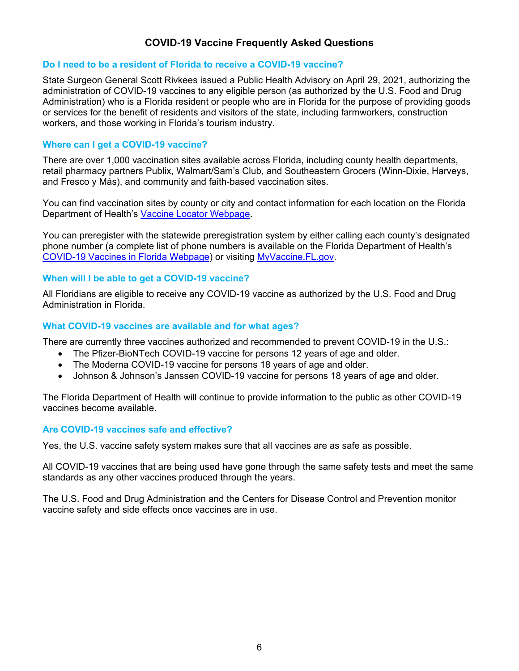# **COVID-19 Vaccine Frequently Asked Questions**

## **Do I need to be a resident of Florida to receive a COVID-19 vaccine?**

State Surgeon General Scott Rivkees issued a Public Health Advisory on April 29, 2021, authorizing the administration of COVID-19 vaccines to any eligible person (as authorized by the U.S. Food and Drug Administration) who is a Florida resident or people who are in Florida for the purpose of providing goods or services for the benefit of residents and visitors of the state, including farmworkers, construction workers, and those working in Florida's tourism industry.

## **Where can I get a COVID-19 vaccine?**

There are over 1,000 vaccination sites available across Florida, including county health departments, retail pharmacy partners Publix, Walmart/Sam's Club, and Southeastern Grocers (Winn-Dixie, Harveys, and Fresco y Más), and community and faith-based vaccination sites.

You can find vaccination sites by county or city and contact information for each location on the Florida Department of Health's [Vaccine Locator Webpage](https://floridahealthcovid19.gov/vaccines/vaccine-locator).

You can preregister with the statewide preregistration system by either calling each county's designated phone number (a complete list of phone numbers is available on the Florida Department of Health's [COVID-19 Vaccines in Florida Webpage](https://floridahealthcovid19.gov/COVID-19-Vaccines-in-Florida/)) or visiting [MyVaccine.FL.gov](https://myvaccine.fl.gov/).

### **When will I be able to get a COVID-19 vaccine?**

All Floridians are eligible to receive any COVID-19 vaccine as authorized by the U.S. Food and Drug Administration in Florida.

### **What COVID-19 vaccines are available and for what ages?**

There are currently three vaccines authorized and recommended to prevent COVID-19 in the U.S.:

- The Pfizer-BioNTech COVID-19 vaccine for persons 12 years of age and older.
- The Moderna COVID-19 vaccine for persons 18 years of age and older.
- Johnson & Johnson's Janssen COVID-19 vaccine for persons 18 years of age and older.

The Florida Department of Health will continue to provide information to the public as other COVID-19 vaccines become available.

### **Are COVID-19 vaccines safe and effective?**

Yes, the U.S. vaccine safety system makes sure that all vaccines are as safe as possible.

All COVID-19 vaccines that are being used have gone through the same safety tests and meet the same standards as any other vaccines produced through the years.

The U.S. Food and Drug Administration and the Centers for Disease Control and Prevention monitor vaccine safety and side effects once vaccines are in use.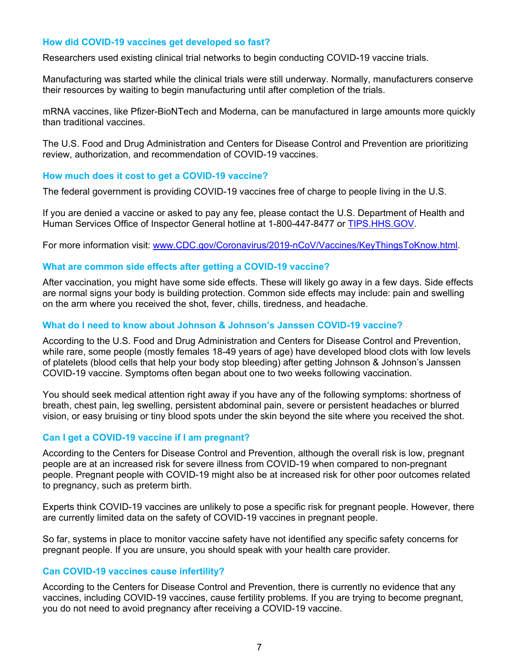### **How did COVID-19 vaccines get developed so fast?**

Researchers used existing clinical trial networks to begin conducting COVID-19 vaccine trials.

Manufacturing was started while the clinical trials were still underway. Normally, manufacturers conserve their resources by waiting to begin manufacturing until after completion of the trials.

mRNA vaccines, like Pfizer-BioNTech and Moderna, can be manufactured in large amounts more quickly than traditional vaccines.

The U.S. Food and Drug Administration and Centers for Disease Control and Prevention are prioritizing review, authorization, and recommendation of COVID-19 vaccines.

#### **How much does it cost to get a COVID-19 vaccine?**

The federal government is providing COVID-19 vaccines free of charge to people living in the U.S.

If you are denied a vaccine or asked to pay any fee, please contact the U.S. Department of Health and Human Services Office of Inspector General hotline at 1-800-447-8477 or [TIPS.HHS.GOV.](https://oig.hhs.gov/fraud/report-fraud/index.asp)

For more information visit: www.CDC.gov/Coronavirus/2019-nCoV/Vaccines/KeyThingsToKnow.html.

#### **What are common side effects after getting a COVID-19 vaccine?**

After vaccination, you might have some side effects. These will likely go away in a few days. Side effects are normal signs your body is building protection. Common side effects may include: pain and swelling on the arm where you received the shot, fever, chills, tiredness, and headache.

#### **What do I need to know about Johnson & Johnson's Janssen COVID-19 vaccine?**

According to the U.S. Food and Drug Administration and Centers for Disease Control and Prevention, while rare, some people (mostly females 18-49 years of age) have developed blood clots with low levels of platelets (blood cells that help your body stop bleeding) after getting Johnson & Johnson's Janssen COVID-19 vaccine. Symptoms often began about one to two weeks following vaccination.

You should seek medical attention right away if you have any of the following symptoms: shortness of breath, chest pain, leg swelling, persistent abdominal pain, severe or persistent headaches or blurred vision, or easy bruising or tiny blood spots under the skin beyond the site where you received the shot.

### **Can I get a COVID-19 vaccine if I am pregnant?**

According to the Centers for Disease Control and Prevention, although the overall risk is low, pregnant people are at an increased risk for severe illness from COVID-19 when compared to non-pregnant people. Pregnant people with COVID-19 might also be at increased risk for other poor outcomes related to pregnancy, such as preterm birth.

Experts think COVID-19 vaccines are unlikely to pose a specific risk for pregnant people. However, there are currently limited data on the safety of COVID-19 vaccines in pregnant people.

So far, systems in place to monitor vaccine safety have not identified any specific safety concerns for pregnant people. If you are unsure, you should speak with your health care provider.

### **Can COVID-19 vaccines cause infertility?**

According to the Centers for Disease Control and Prevention, there is currently no evidence that any vaccines, including COVID-19 vaccines, cause fertility problems. If you are trying to become pregnant, you do not need to avoid pregnancy after receiving a COVID-19 vaccine.